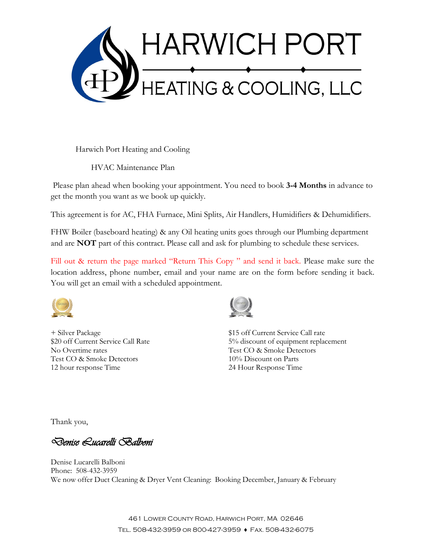

Harwich Port Heating and Cooling

HVAC Maintenance Plan

Please plan ahead when booking your appointment. You need to book **3-4 Months** in advance to get the month you want as we book up quickly.

This agreement is for AC, FHA Furnace, Mini Splits, Air Handlers, Humidifiers & Dehumidifiers.

FHW Boiler (baseboard heating) & any Oil heating units goes through our Plumbing department and are **NOT** part of this contract. Please call and ask for plumbing to schedule these services.

Fill out & return the page marked "Return This Copy" and send it back. Please make sure the location address, phone number, email and your name are on the form before sending it back. You will get an email with a scheduled appointment.



No Overtime rates Test CO & Smoke Detectors Test CO & Smoke Detectors 10% Discount on Parts 12 hour response Time 24 Hour Response Time



+ Silver Package \$15 off Current Service Call rate \$20 off Current Service Call Rate 5% discount of equipment replacement

Thank you,

Denise Lucarelli Balboni

Denise Lucarelli Balboni Phone: 508-432-3959 We now offer Duct Cleaning & Dryer Vent Cleaning: Booking December, January & February